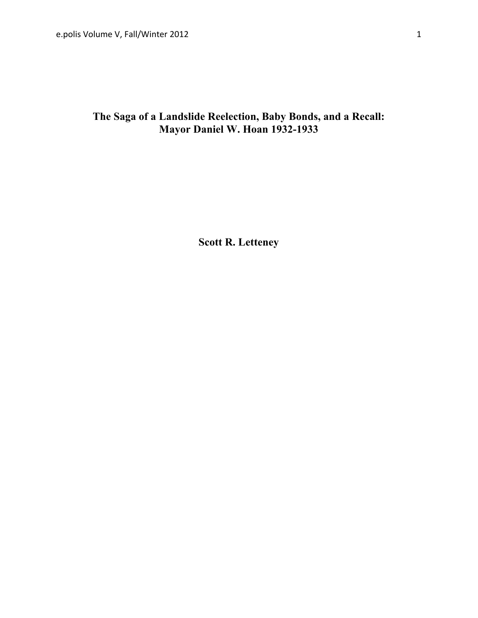# **The Saga of a Landslide Reelection, Baby Bonds, and a Recall: Mayor Daniel W. Hoan 1932-1933**

**Scott R. Letteney**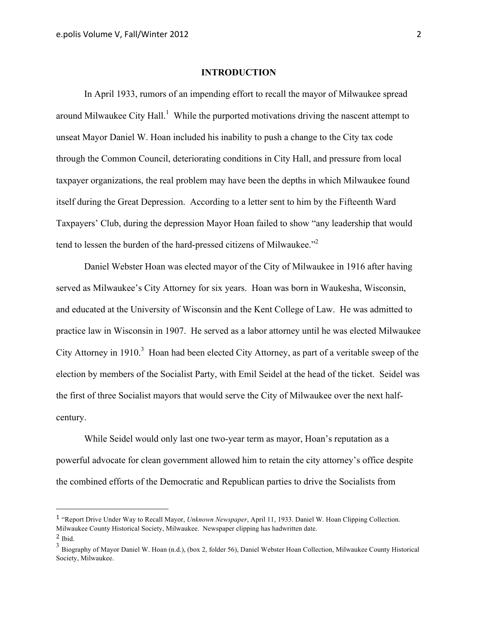#### **INTRODUCTION**

In April 1933, rumors of an impending effort to recall the mayor of Milwaukee spread around Milwaukee City Hall.<sup>1</sup> While the purported motivations driving the nascent attempt to unseat Mayor Daniel W. Hoan included his inability to push a change to the City tax code through the Common Council, deteriorating conditions in City Hall, and pressure from local taxpayer organizations, the real problem may have been the depths in which Milwaukee found itself during the Great Depression. According to a letter sent to him by the Fifteenth Ward Taxpayers' Club, during the depression Mayor Hoan failed to show "any leadership that would tend to lessen the burden of the hard-pressed citizens of Milwaukee."2

Daniel Webster Hoan was elected mayor of the City of Milwaukee in 1916 after having served as Milwaukee's City Attorney for six years. Hoan was born in Waukesha, Wisconsin, and educated at the University of Wisconsin and the Kent College of Law. He was admitted to practice law in Wisconsin in 1907. He served as a labor attorney until he was elected Milwaukee City Attorney in 1910.<sup>3</sup> Hoan had been elected City Attorney, as part of a veritable sweep of the election by members of the Socialist Party, with Emil Seidel at the head of the ticket. Seidel was the first of three Socialist mayors that would serve the City of Milwaukee over the next halfcentury.

While Seidel would only last one two-year term as mayor, Hoan's reputation as a powerful advocate for clean government allowed him to retain the city attorney's office despite the combined efforts of the Democratic and Republican parties to drive the Socialists from

<sup>1</sup> "Report Drive Under Way to Recall Mayor, *Unknown Newspaper*, April 11, 1933. Daniel W. Hoan Clipping Collection. Milwaukee County Historical Society, Milwaukee. Newspaper clipping has hadwritten date. 2 Ibid.

<sup>3</sup> Biography of Mayor Daniel W. Hoan (n.d.), (box 2, folder 56), Daniel Webster Hoan Collection, Milwaukee County Historical Society, Milwaukee.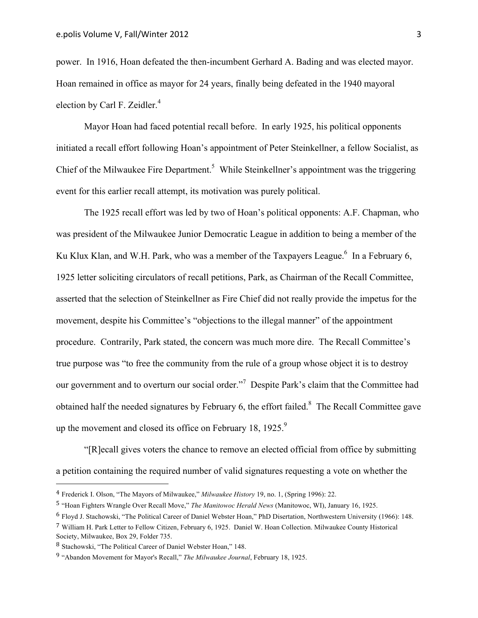power. In 1916, Hoan defeated the then-incumbent Gerhard A. Bading and was elected mayor. Hoan remained in office as mayor for 24 years, finally being defeated in the 1940 mayoral election by Carl F. Zeidler.<sup>4</sup>

Mayor Hoan had faced potential recall before. In early 1925, his political opponents initiated a recall effort following Hoan's appointment of Peter Steinkellner, a fellow Socialist, as Chief of the Milwaukee Fire Department.<sup>5</sup> While Steinkellner's appointment was the triggering event for this earlier recall attempt, its motivation was purely political.

The 1925 recall effort was led by two of Hoan's political opponents: A.F. Chapman, who was president of the Milwaukee Junior Democratic League in addition to being a member of the Ku Klux Klan, and W.H. Park, who was a member of the Taxpayers League.<sup>6</sup> In a February 6, 1925 letter soliciting circulators of recall petitions, Park, as Chairman of the Recall Committee, asserted that the selection of Steinkellner as Fire Chief did not really provide the impetus for the movement, despite his Committee's "objections to the illegal manner" of the appointment procedure. Contrarily, Park stated, the concern was much more dire. The Recall Committee's true purpose was "to free the community from the rule of a group whose object it is to destroy our government and to overturn our social order."<sup>7</sup> Despite Park's claim that the Committee had obtained half the needed signatures by February 6, the effort failed. $8\text{ }$  The Recall Committee gave up the movement and closed its office on February 18, 1925.<sup>9</sup>

"[R]ecall gives voters the chance to remove an elected official from office by submitting a petition containing the required number of valid signatures requesting a vote on whether the

<sup>4</sup> Frederick I. Olson, "The Mayors of Milwaukee," *Milwaukee History* 19, no. 1, (Spring 1996): 22.

<sup>5</sup> "Hoan Fighters Wrangle Over Recall Move," *The Manitowoc Herald News* (Manitowoc, WI), January 16, 1925.

<sup>6</sup> Floyd J. Stachowski, "The Political Career of Daniel Webster Hoan," PhD Disertation, Northwestern University (1966): 148.

<sup>7</sup> William H. Park Letter to Fellow Citizen, February 6, 1925. Daniel W. Hoan Collection. Milwaukee County Historical Society, Milwaukee, Box 29, Folder 735.

<sup>8</sup> Stachowski, "The Political Career of Daniel Webster Hoan," 148.

<sup>9</sup> "Abandon Movement for Mayor's Recall," *The Milwaukee Journal*, February 18, 1925.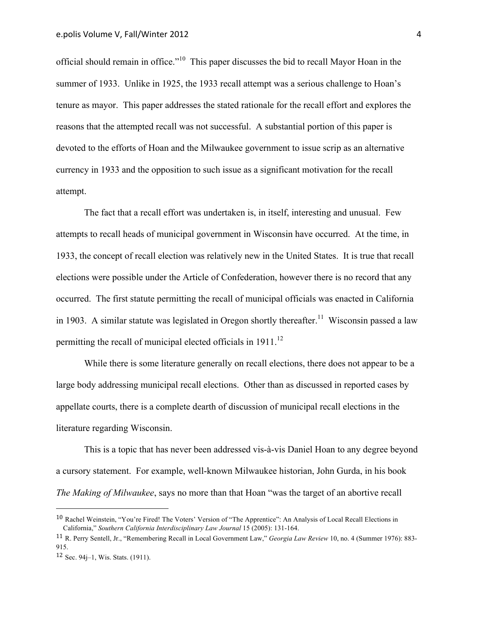official should remain in office."10 This paper discusses the bid to recall Mayor Hoan in the summer of 1933. Unlike in 1925, the 1933 recall attempt was a serious challenge to Hoan's tenure as mayor. This paper addresses the stated rationale for the recall effort and explores the reasons that the attempted recall was not successful. A substantial portion of this paper is devoted to the efforts of Hoan and the Milwaukee government to issue scrip as an alternative currency in 1933 and the opposition to such issue as a significant motivation for the recall attempt.

The fact that a recall effort was undertaken is, in itself, interesting and unusual. Few attempts to recall heads of municipal government in Wisconsin have occurred. At the time, in 1933, the concept of recall election was relatively new in the United States. It is true that recall elections were possible under the Article of Confederation, however there is no record that any occurred. The first statute permitting the recall of municipal officials was enacted in California in 1903. A similar statute was legislated in Oregon shortly thereafter.<sup>11</sup> Wisconsin passed a law permitting the recall of municipal elected officials in  $1911$ <sup>12</sup>

While there is some literature generally on recall elections, there does not appear to be a large body addressing municipal recall elections. Other than as discussed in reported cases by appellate courts, there is a complete dearth of discussion of municipal recall elections in the literature regarding Wisconsin.

This is a topic that has never been addressed vis-à-vis Daniel Hoan to any degree beyond a cursory statement. For example, well-known Milwaukee historian, John Gurda, in his book *The Making of Milwaukee*, says no more than that Hoan "was the target of an abortive recall

<sup>10</sup> Rachel Weinstein, "You're Fired! The Voters' Version of "The Apprentice": An Analysis of Local Recall Elections in California," *Southern California Interdisciplinary Law Journal* 15 (2005): 131-164.

<sup>11</sup> R. Perry Sentell, Jr., "Remembering Recall in Local Government Law," *Georgia Law Review* 10, no. 4 (Summer 1976): 883- 915.

<sup>12</sup> Sec. 94j–1, Wis. Stats. (1911).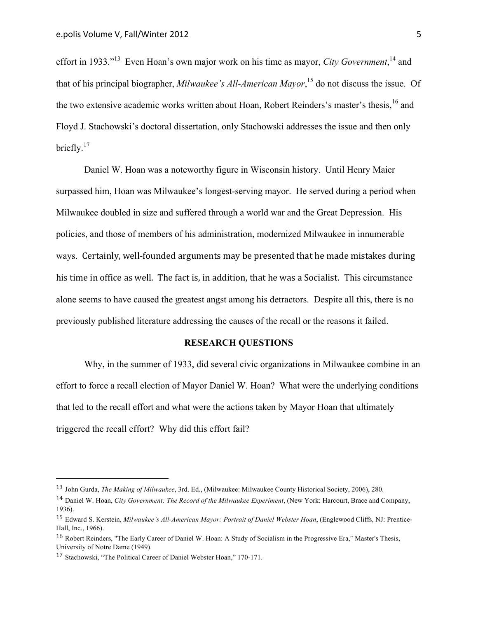effort in 1933."<sup>13</sup> Even Hoan's own major work on his time as mayor, *City Government*,<sup>14</sup> and that of his principal biographer, *Milwaukee's All-American Mayor*, <sup>15</sup> do not discuss the issue. Of the two extensive academic works written about Hoan, Robert Reinders's master's thesis, <sup>16</sup> and Floyd J. Stachowski's doctoral dissertation, only Stachowski addresses the issue and then only briefly. $17$ 

Daniel W. Hoan was a noteworthy figure in Wisconsin history. Until Henry Maier surpassed him, Hoan was Milwaukee's longest-serving mayor. He served during a period when Milwaukee doubled in size and suffered through a world war and the Great Depression. His policies, and those of members of his administration, modernized Milwaukee in innumerable ways. Certainly, well-founded arguments may be presented that he made mistakes during his time in office as well. The fact is, in addition, that he was a Socialist. This circumstance alone seems to have caused the greatest angst among his detractors. Despite all this, there is no previously published literature addressing the causes of the recall or the reasons it failed.

#### **RESEARCH QUESTIONS**

Why, in the summer of 1933, did several civic organizations in Milwaukee combine in an effort to force a recall election of Mayor Daniel W. Hoan? What were the underlying conditions that led to the recall effort and what were the actions taken by Mayor Hoan that ultimately triggered the recall effort? Why did this effort fail?

<sup>13</sup> John Gurda, *The Making of Milwaukee*, 3rd. Ed., (Milwaukee: Milwaukee County Historical Society, 2006), 280.

<sup>14</sup> Daniel W. Hoan, *City Government: The Record of the Milwaukee Experiment*, (New York: Harcourt, Brace and Company, 1936).

<sup>15</sup> Edward S. Kerstein, *Milwaukee's All-American Mayor: Portrait of Daniel Webster Hoan*, (Englewood Cliffs, NJ: Prentice-Hall, Inc., 1966).

<sup>16</sup> Robert Reinders, "The Early Career of Daniel W. Hoan: A Study of Socialism in the Progressive Era," Master's Thesis, University of Notre Dame (1949).

<sup>17</sup> Stachowski, "The Political Career of Daniel Webster Hoan," 170-171.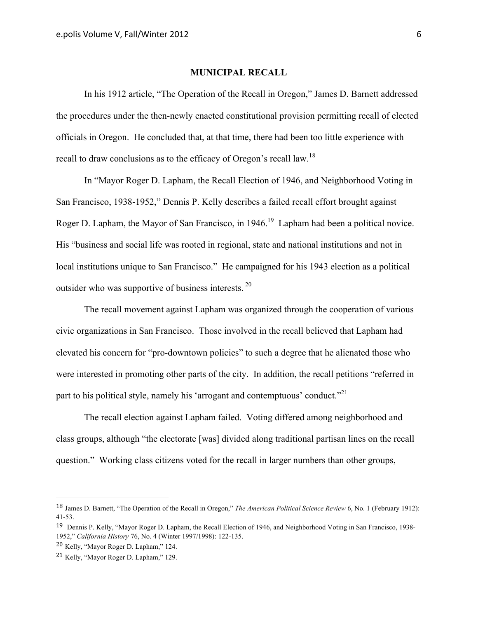# **MUNICIPAL RECALL**

In his 1912 article, "The Operation of the Recall in Oregon," James D. Barnett addressed the procedures under the then-newly enacted constitutional provision permitting recall of elected officials in Oregon. He concluded that, at that time, there had been too little experience with recall to draw conclusions as to the efficacy of Oregon's recall law.<sup>18</sup>

In "Mayor Roger D. Lapham, the Recall Election of 1946, and Neighborhood Voting in San Francisco, 1938-1952," Dennis P. Kelly describes a failed recall effort brought against Roger D. Lapham, the Mayor of San Francisco, in 1946.<sup>19</sup> Lapham had been a political novice. His "business and social life was rooted in regional, state and national institutions and not in local institutions unique to San Francisco." He campaigned for his 1943 election as a political outsider who was supportive of business interests. 20

The recall movement against Lapham was organized through the cooperation of various civic organizations in San Francisco. Those involved in the recall believed that Lapham had elevated his concern for "pro-downtown policies" to such a degree that he alienated those who were interested in promoting other parts of the city. In addition, the recall petitions "referred in part to his political style, namely his 'arrogant and contemptuous' conduct."<sup>21</sup>

The recall election against Lapham failed. Voting differed among neighborhood and class groups, although "the electorate [was] divided along traditional partisan lines on the recall question." Working class citizens voted for the recall in larger numbers than other groups,

<sup>18</sup> James D. Barnett, "The Operation of the Recall in Oregon," *The American Political Science Review* 6, No. 1 (February 1912): 41-53. 

<sup>&</sup>lt;sup>19</sup> Dennis P. Kelly, "Mayor Roger D. Lapham, the Recall Election of 1946, and Neighborhood Voting in San Francisco, 1938-1952," *California History* 76, No. 4 (Winter 1997/1998): 122-135. 

<sup>20</sup> Kelly, "Mayor Roger D. Lapham," 124.

<sup>21</sup> Kelly, "Mayor Roger D. Lapham," 129.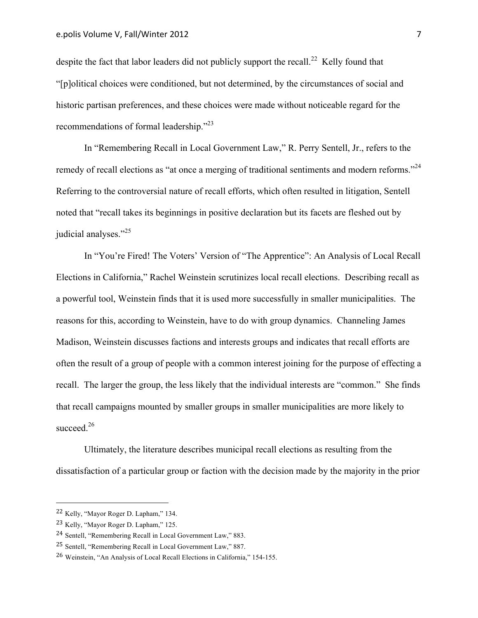despite the fact that labor leaders did not publicly support the recall.<sup>22</sup> Kelly found that "[p]olitical choices were conditioned, but not determined, by the circumstances of social and historic partisan preferences, and these choices were made without noticeable regard for the recommendations of formal leadership."23

In "Remembering Recall in Local Government Law," R. Perry Sentell, Jr., refers to the remedy of recall elections as "at once a merging of traditional sentiments and modern reforms."<sup>24</sup> Referring to the controversial nature of recall efforts, which often resulted in litigation, Sentell noted that "recall takes its beginnings in positive declaration but its facets are fleshed out by judicial analyses."<sup>25</sup>

In "You're Fired! The Voters' Version of "The Apprentice": An Analysis of Local Recall Elections in California," Rachel Weinstein scrutinizes local recall elections. Describing recall as a powerful tool, Weinstein finds that it is used more successfully in smaller municipalities. The reasons for this, according to Weinstein, have to do with group dynamics. Channeling James Madison, Weinstein discusses factions and interests groups and indicates that recall efforts are often the result of a group of people with a common interest joining for the purpose of effecting a recall. The larger the group, the less likely that the individual interests are "common." She finds that recall campaigns mounted by smaller groups in smaller municipalities are more likely to succeed.<sup>26</sup>

Ultimately, the literature describes municipal recall elections as resulting from the dissatisfaction of a particular group or faction with the decision made by the majority in the prior

 22 Kelly, "Mayor Roger D. Lapham," 134.

<sup>23</sup> Kelly, "Mayor Roger D. Lapham," 125.

<sup>24</sup> Sentell, "Remembering Recall in Local Government Law," 883.

<sup>25</sup> Sentell, "Remembering Recall in Local Government Law," 887.

<sup>26</sup> Weinstein, "An Analysis of Local Recall Elections in California," 154-155.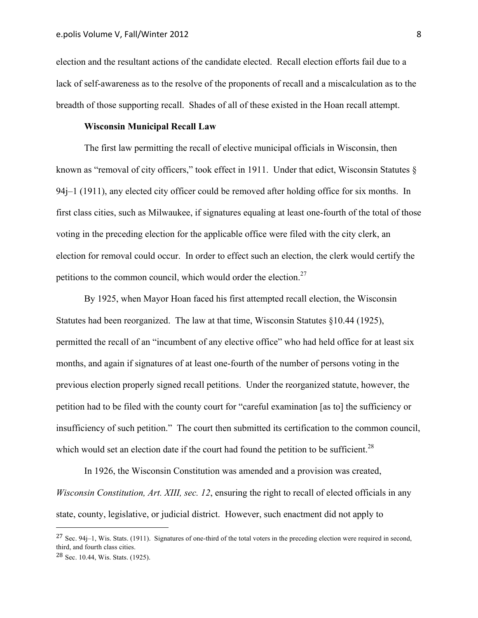election and the resultant actions of the candidate elected. Recall election efforts fail due to a lack of self-awareness as to the resolve of the proponents of recall and a miscalculation as to the breadth of those supporting recall. Shades of all of these existed in the Hoan recall attempt.

#### **Wisconsin Municipal Recall Law**

The first law permitting the recall of elective municipal officials in Wisconsin, then known as "removal of city officers," took effect in 1911. Under that edict, Wisconsin Statutes § 94j–1 (1911), any elected city officer could be removed after holding office for six months. In first class cities, such as Milwaukee, if signatures equaling at least one-fourth of the total of those voting in the preceding election for the applicable office were filed with the city clerk, an election for removal could occur. In order to effect such an election, the clerk would certify the petitions to the common council, which would order the election. $27$ 

By 1925, when Mayor Hoan faced his first attempted recall election, the Wisconsin Statutes had been reorganized. The law at that time, Wisconsin Statutes §10.44 (1925), permitted the recall of an "incumbent of any elective office" who had held office for at least six months, and again if signatures of at least one-fourth of the number of persons voting in the previous election properly signed recall petitions. Under the reorganized statute, however, the petition had to be filed with the county court for "careful examination [as to] the sufficiency or insufficiency of such petition." The court then submitted its certification to the common council, which would set an election date if the court had found the petition to be sufficient.<sup>28</sup>

In 1926, the Wisconsin Constitution was amended and a provision was created, *Wisconsin Constitution, Art. XIII, sec. 12*, ensuring the right to recall of elected officials in any state, county, legislative, or judicial district. However, such enactment did not apply to

 $27$  Sec. 94j–1, Wis. Stats. (1911). Signatures of one-third of the total voters in the preceding election were required in second, third, and fourth class cities.

<sup>28</sup> Sec. 10.44, Wis. Stats. (1925).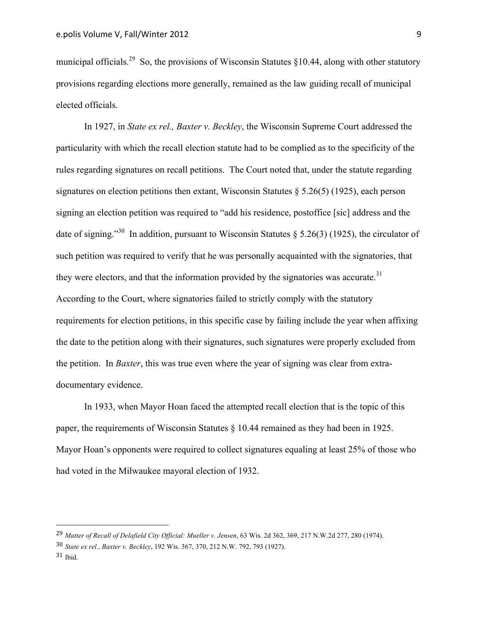municipal officials.<sup>29</sup> So, the provisions of Wisconsin Statutes  $$10.44$ , along with other statutory provisions regarding elections more generally, remained as the law guiding recall of municipal elected officials.

In 1927, in *State ex rel., Baxter v. Beckley*, the Wisconsin Supreme Court addressed the particularity with which the recall election statute had to be complied as to the specificity of the rules regarding signatures on recall petitions. The Court noted that, under the statute regarding signatures on election petitions then extant, Wisconsin Statutes  $\S$  5.26(5) (1925), each person signing an election petition was required to "add his residence, postoffice [sic] address and the date of signing."<sup>30</sup> In addition, pursuant to Wisconsin Statutes  $\delta$  5.26(3) (1925), the circulator of such petition was required to verify that he was personally acquainted with the signatories, that they were electors, and that the information provided by the signatories was accurate.<sup>31</sup> According to the Court, where signatories failed to strictly comply with the statutory requirements for election petitions, in this specific case by failing include the year when affixing the date to the petition along with their signatures, such signatures were properly excluded from the petition. In *Baxter*, this was true even where the year of signing was clear from extradocumentary evidence.

In 1933, when Mayor Hoan faced the attempted recall election that is the topic of this paper, the requirements of Wisconsin Statutes § 10.44 remained as they had been in 1925. Mayor Hoan's opponents were required to collect signatures equaling at least 25% of those who had voted in the Milwaukee mayoral election of 1932.

<sup>29</sup> *Matter of Recall of Delafield City Official: Mueller v. Jensen*, 63 Wis. 2d 362, 369, 217 N.W.2d 277, 280 (1974).

<sup>30</sup> *State ex rel., Baxter v. Beckley*, 192 Wis. 367, 370, 212 N.W. 792, 793 (1927).

 $31$  Ibid.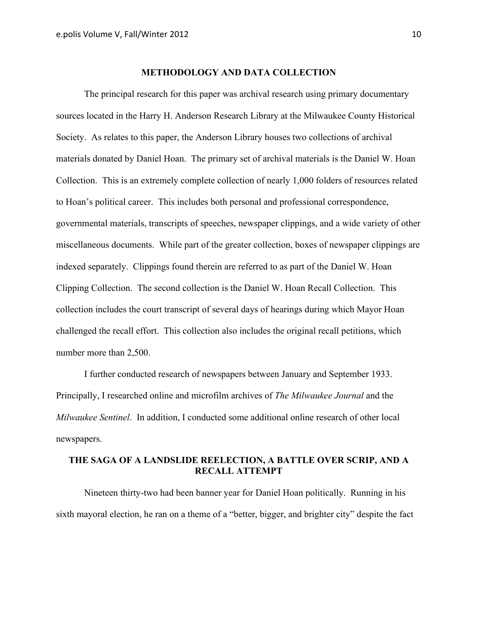#### **METHODOLOGY AND DATA COLLECTION**

The principal research for this paper was archival research using primary documentary sources located in the Harry H. Anderson Research Library at the Milwaukee County Historical Society. As relates to this paper, the Anderson Library houses two collections of archival materials donated by Daniel Hoan. The primary set of archival materials is the Daniel W. Hoan Collection. This is an extremely complete collection of nearly 1,000 folders of resources related to Hoan's political career. This includes both personal and professional correspondence, governmental materials, transcripts of speeches, newspaper clippings, and a wide variety of other miscellaneous documents. While part of the greater collection, boxes of newspaper clippings are indexed separately. Clippings found therein are referred to as part of the Daniel W. Hoan Clipping Collection. The second collection is the Daniel W. Hoan Recall Collection. This collection includes the court transcript of several days of hearings during which Mayor Hoan challenged the recall effort. This collection also includes the original recall petitions, which number more than 2,500.

I further conducted research of newspapers between January and September 1933. Principally, I researched online and microfilm archives of *The Milwaukee Journal* and the *Milwaukee Sentinel*. In addition, I conducted some additional online research of other local newspapers.

# **THE SAGA OF A LANDSLIDE REELECTION, A BATTLE OVER SCRIP, AND A RECALL ATTEMPT**

Nineteen thirty-two had been banner year for Daniel Hoan politically. Running in his sixth mayoral election, he ran on a theme of a "better, bigger, and brighter city" despite the fact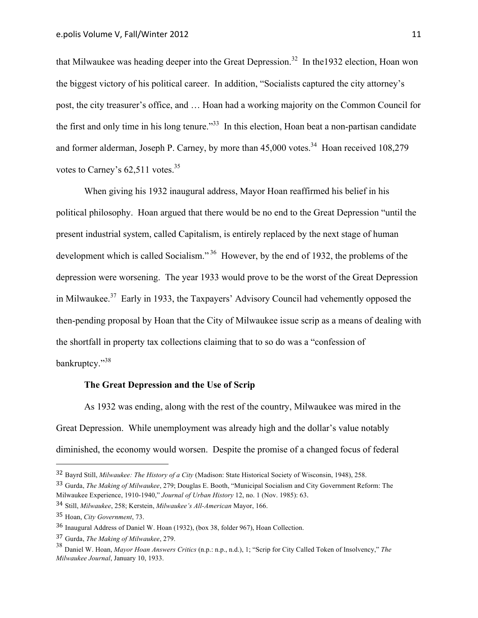that Milwaukee was heading deeper into the Great Depression.<sup>32</sup> In the 1932 election, Hoan won the biggest victory of his political career. In addition, "Socialists captured the city attorney's post, the city treasurer's office, and … Hoan had a working majority on the Common Council for the first and only time in his long tenure."<sup>33</sup> In this election, Hoan beat a non-partisan candidate and former alderman, Joseph P. Carney, by more than  $45,000$  votes.<sup>34</sup> Hoan received  $108,279$ votes to Carney's  $62.511$  votes.<sup>35</sup>

When giving his 1932 inaugural address, Mayor Hoan reaffirmed his belief in his political philosophy. Hoan argued that there would be no end to the Great Depression "until the present industrial system, called Capitalism, is entirely replaced by the next stage of human development which is called Socialism."<sup>36</sup> However, by the end of 1932, the problems of the depression were worsening. The year 1933 would prove to be the worst of the Great Depression in Milwaukee.37 Early in 1933, the Taxpayers' Advisory Council had vehemently opposed the then-pending proposal by Hoan that the City of Milwaukee issue scrip as a means of dealing with the shortfall in property tax collections claiming that to so do was a "confession of bankruptcy."<sup>38</sup>

#### **The Great Depression and the Use of Scrip**

As 1932 was ending, along with the rest of the country, Milwaukee was mired in the Great Depression. While unemployment was already high and the dollar's value notably diminished, the economy would worsen. Despite the promise of a changed focus of federal

<sup>32</sup> Bayrd Still, *Milwaukee: The History of a City* (Madison: State Historical Society of Wisconsin, 1948), 258.

<sup>33</sup> Gurda, *The Making of Milwaukee*, 279; Douglas E. Booth, "Municipal Socialism and City Government Reform: The Milwaukee Experience, 1910-1940," *Journal of Urban History* 12, no. 1 (Nov. 1985): 63.

<sup>34</sup> Still, *Milwaukee*, 258; Kerstein, *Milwaukee's All-American* Mayor, 166.

<sup>35</sup> Hoan, *City Government*, 73.

<sup>36</sup> Inaugural Address of Daniel W. Hoan (1932), (box 38, folder 967), Hoan Collection.

<sup>37</sup> Gurda, *The Making of Milwaukee*, 279.

<sup>38</sup> Daniel W. Hoan, *Mayor Hoan Answers Critics* (n.p.: n.p., n.d.), 1; "Scrip for City Called Token of Insolvency," *The Milwaukee Journal*, January 10, 1933.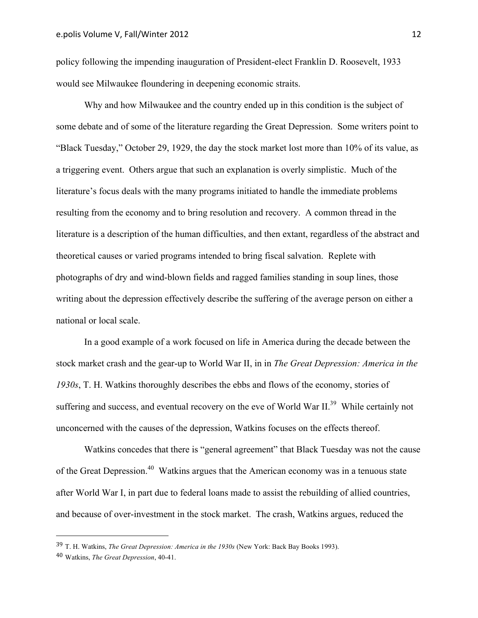policy following the impending inauguration of President-elect Franklin D. Roosevelt, 1933 would see Milwaukee floundering in deepening economic straits.

Why and how Milwaukee and the country ended up in this condition is the subject of some debate and of some of the literature regarding the Great Depression. Some writers point to "Black Tuesday," October 29, 1929, the day the stock market lost more than 10% of its value, as a triggering event. Others argue that such an explanation is overly simplistic. Much of the literature's focus deals with the many programs initiated to handle the immediate problems resulting from the economy and to bring resolution and recovery. A common thread in the literature is a description of the human difficulties, and then extant, regardless of the abstract and theoretical causes or varied programs intended to bring fiscal salvation. Replete with photographs of dry and wind-blown fields and ragged families standing in soup lines, those writing about the depression effectively describe the suffering of the average person on either a national or local scale.

In a good example of a work focused on life in America during the decade between the stock market crash and the gear-up to World War II, in in *The Great Depression: America in the 1930s*, T. H. Watkins thoroughly describes the ebbs and flows of the economy, stories of suffering and success, and eventual recovery on the eve of World War II.<sup>39</sup> While certainly not unconcerned with the causes of the depression, Watkins focuses on the effects thereof.

Watkins concedes that there is "general agreement" that Black Tuesday was not the cause of the Great Depression.<sup>40</sup> Watkins argues that the American economy was in a tenuous state after World War I, in part due to federal loans made to assist the rebuilding of allied countries, and because of over-investment in the stock market. The crash, Watkins argues, reduced the

<sup>39</sup> T. H. Watkins, *The Great Depression: America in the 1930s* (New York: Back Bay Books 1993).

<sup>40</sup> Watkins, *The Great Depression*, 40-41.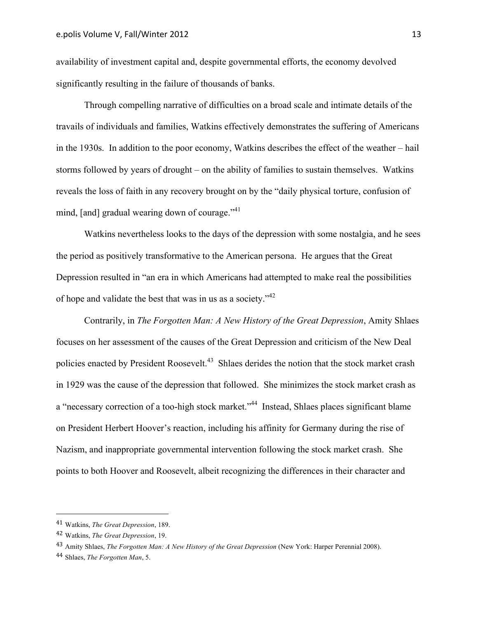availability of investment capital and, despite governmental efforts, the economy devolved significantly resulting in the failure of thousands of banks.

Through compelling narrative of difficulties on a broad scale and intimate details of the travails of individuals and families, Watkins effectively demonstrates the suffering of Americans in the 1930s. In addition to the poor economy, Watkins describes the effect of the weather – hail storms followed by years of drought – on the ability of families to sustain themselves. Watkins reveals the loss of faith in any recovery brought on by the "daily physical torture, confusion of mind, [and] gradual wearing down of courage. $141$ 

Watkins nevertheless looks to the days of the depression with some nostalgia, and he sees the period as positively transformative to the American persona. He argues that the Great Depression resulted in "an era in which Americans had attempted to make real the possibilities of hope and validate the best that was in us as a society."<sup>42</sup>

Contrarily, in *The Forgotten Man: A New History of the Great Depression*, Amity Shlaes focuses on her assessment of the causes of the Great Depression and criticism of the New Deal policies enacted by President Roosevelt.<sup>43</sup> Shlaes derides the notion that the stock market crash in 1929 was the cause of the depression that followed. She minimizes the stock market crash as a "necessary correction of a too-high stock market."<sup>44</sup> Instead, Shlaes places significant blame on President Herbert Hoover's reaction, including his affinity for Germany during the rise of Nazism, and inappropriate governmental intervention following the stock market crash. She points to both Hoover and Roosevelt, albeit recognizing the differences in their character and

 41 Watkins, *The Great Depression*, 189.

<sup>42</sup> Watkins, *The Great Depression*, 19.

<sup>43</sup> Amity Shlaes, *The Forgotten Man: A New History of the Great Depression* (New York: Harper Perennial 2008).

<sup>44</sup> Shlaes, *The Forgotten Man*, 5.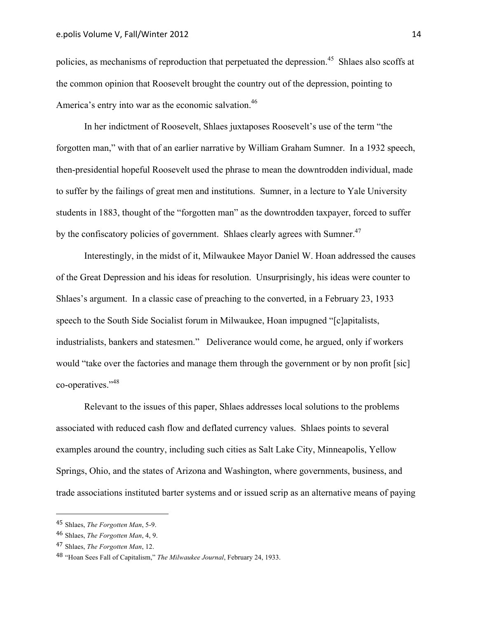policies, as mechanisms of reproduction that perpetuated the depression.<sup>45</sup> Shlaes also scoffs at the common opinion that Roosevelt brought the country out of the depression, pointing to America's entry into war as the economic salvation.<sup>46</sup>

In her indictment of Roosevelt, Shlaes juxtaposes Roosevelt's use of the term "the forgotten man," with that of an earlier narrative by William Graham Sumner. In a 1932 speech, then-presidential hopeful Roosevelt used the phrase to mean the downtrodden individual, made to suffer by the failings of great men and institutions. Sumner, in a lecture to Yale University students in 1883, thought of the "forgotten man" as the downtrodden taxpayer, forced to suffer by the confiscatory policies of government. Shlaes clearly agrees with Sumner.<sup>47</sup>

Interestingly, in the midst of it, Milwaukee Mayor Daniel W. Hoan addressed the causes of the Great Depression and his ideas for resolution. Unsurprisingly, his ideas were counter to Shlaes's argument. In a classic case of preaching to the converted, in a February 23, 1933 speech to the South Side Socialist forum in Milwaukee, Hoan impugned "[c]apitalists, industrialists, bankers and statesmen." Deliverance would come, he argued, only if workers would "take over the factories and manage them through the government or by non profit [sic] co-operatives."48

Relevant to the issues of this paper, Shlaes addresses local solutions to the problems associated with reduced cash flow and deflated currency values. Shlaes points to several examples around the country, including such cities as Salt Lake City, Minneapolis, Yellow Springs, Ohio, and the states of Arizona and Washington, where governments, business, and trade associations instituted barter systems and or issued scrip as an alternative means of paying

<sup>45</sup> Shlaes, *The Forgotten Man*, 5-9.

<sup>46</sup> Shlaes, *The Forgotten Man*, 4, 9.

<sup>47</sup> Shlaes, *The Forgotten Man*, 12.

<sup>48</sup> "Hoan Sees Fall of Capitalism," *The Milwaukee Journal*, February 24, 1933.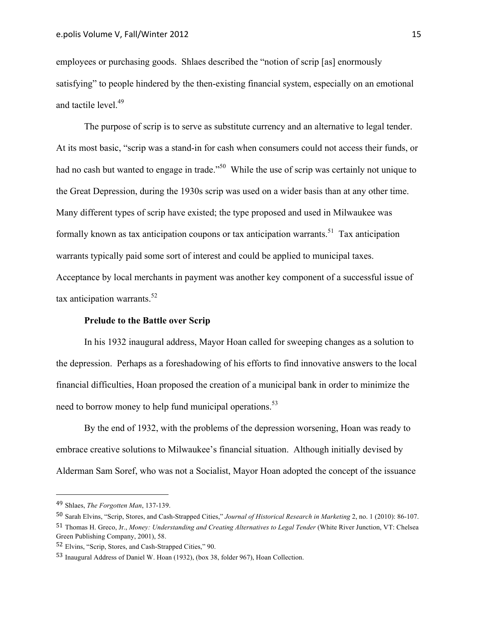employees or purchasing goods. Shlaes described the "notion of scrip [as] enormously satisfying" to people hindered by the then-existing financial system, especially on an emotional and tactile level.<sup>49</sup>

The purpose of scrip is to serve as substitute currency and an alternative to legal tender. At its most basic, "scrip was a stand-in for cash when consumers could not access their funds, or had no cash but wanted to engage in trade."<sup>50</sup> While the use of scrip was certainly not unique to the Great Depression, during the 1930s scrip was used on a wider basis than at any other time. Many different types of scrip have existed; the type proposed and used in Milwaukee was formally known as tax anticipation coupons or tax anticipation warrants.<sup>51</sup> Tax anticipation warrants typically paid some sort of interest and could be applied to municipal taxes. Acceptance by local merchants in payment was another key component of a successful issue of tax anticipation warrants.<sup>52</sup>

#### **Prelude to the Battle over Scrip**

In his 1932 inaugural address, Mayor Hoan called for sweeping changes as a solution to the depression. Perhaps as a foreshadowing of his efforts to find innovative answers to the local financial difficulties, Hoan proposed the creation of a municipal bank in order to minimize the need to borrow money to help fund municipal operations.<sup>53</sup>

By the end of 1932, with the problems of the depression worsening, Hoan was ready to embrace creative solutions to Milwaukee's financial situation. Although initially devised by Alderman Sam Soref, who was not a Socialist, Mayor Hoan adopted the concept of the issuance

 49 Shlaes, *The Forgotten Man*, 137-139.

<sup>50</sup> Sarah Elvins, "Scrip, Stores, and Cash-Strapped Cities," *Journal of Historical Research in Marketing* 2, no. 1 (2010): 86-107.

<sup>51</sup> Thomas H. Greco, Jr., *Money: Understanding and Creating Alternatives to Legal Tender* (White River Junction, VT: Chelsea Green Publishing Company, 2001), 58.

<sup>52</sup> Elvins, "Scrip, Stores, and Cash-Strapped Cities," 90.

<sup>53</sup> Inaugural Address of Daniel W. Hoan (1932), (box 38, folder 967), Hoan Collection.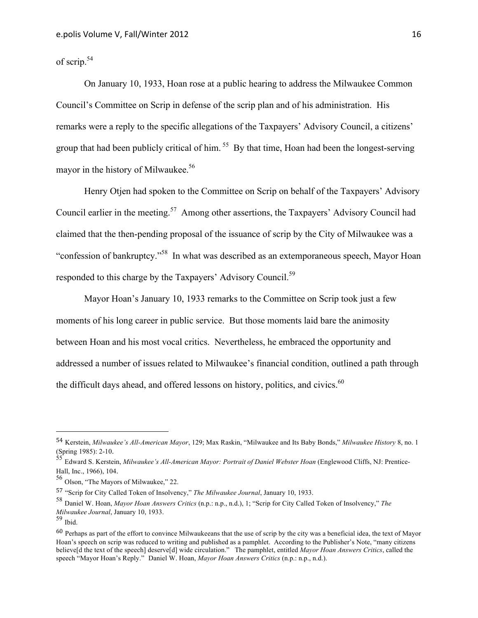of scrip.54

On January 10, 1933, Hoan rose at a public hearing to address the Milwaukee Common Council's Committee on Scrip in defense of the scrip plan and of his administration. His remarks were a reply to the specific allegations of the Taxpayers' Advisory Council, a citizens' group that had been publicly critical of him.<sup>55</sup> By that time, Hoan had been the longest-serving mayor in the history of Milwaukee.<sup>56</sup>

Henry Otjen had spoken to the Committee on Scrip on behalf of the Taxpayers' Advisory Council earlier in the meeting.57 Among other assertions, the Taxpayers' Advisory Council had claimed that the then-pending proposal of the issuance of scrip by the City of Milwaukee was a "confession of bankruptcy."58 In what was described as an extemporaneous speech, Mayor Hoan responded to this charge by the Taxpayers' Advisory Council.<sup>59</sup>

Mayor Hoan's January 10, 1933 remarks to the Committee on Scrip took just a few moments of his long career in public service. But those moments laid bare the animosity between Hoan and his most vocal critics. Nevertheless, he embraced the opportunity and addressed a number of issues related to Milwaukee's financial condition, outlined a path through the difficult days ahead, and offered lessons on history, politics, and civics.<sup>60</sup>

<sup>54</sup> Kerstein, *Milwaukee's All-American Mayor*, 129; Max Raskin, "Milwaukee and Its Baby Bonds," *Milwaukee History* 8, no. 1 (Spring 1985): 2-10. 55 Edward S. Kerstein, *Milwaukee's All-American Mayor: Portrait of Daniel Webster Hoan* (Englewood Cliffs, NJ: Prentice-

Hall, Inc., 1966), 104.<br><sup>56</sup> Olson, "The Mayors of Milwaukee," 22.

<sup>57</sup> "Scrip for City Called Token of Insolvency," *The Milwaukee Journal*, January 10, 1933.

<sup>58</sup> Daniel W. Hoan, *Mayor Hoan Answers Critics* (n.p.: n.p., n.d.), 1; "Scrip for City Called Token of Insolvency," *The Milwaukee Journal*, January 10, 1933.

<sup>59</sup> Ibid.

<sup>60</sup> Perhaps as part of the effort to convince Milwaukeeans that the use of scrip by the city was a beneficial idea, the text of Mayor Hoan's speech on scrip was reduced to writing and published as a pamphlet. According to the Publisher's Note, "many citizens believe[d the text of the speech] deserve[d] wide circulation." The pamphlet, entitled *Mayor Hoan Answers Critics*, called the speech "Mayor Hoan's Reply." Daniel W. Hoan, *Mayor Hoan Answers Critics* (n.p.: n.p., n.d.).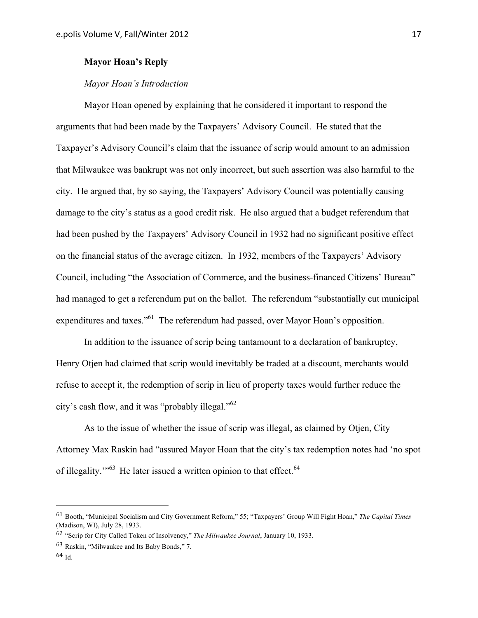# **Mayor Hoan's Reply**

## *Mayor Hoan's Introduction*

Mayor Hoan opened by explaining that he considered it important to respond the arguments that had been made by the Taxpayers' Advisory Council. He stated that the Taxpayer's Advisory Council's claim that the issuance of scrip would amount to an admission that Milwaukee was bankrupt was not only incorrect, but such assertion was also harmful to the city. He argued that, by so saying, the Taxpayers' Advisory Council was potentially causing damage to the city's status as a good credit risk. He also argued that a budget referendum that had been pushed by the Taxpayers' Advisory Council in 1932 had no significant positive effect on the financial status of the average citizen. In 1932, members of the Taxpayers' Advisory Council, including "the Association of Commerce, and the business-financed Citizens' Bureau" had managed to get a referendum put on the ballot. The referendum "substantially cut municipal expenditures and taxes."61 The referendum had passed, over Mayor Hoan's opposition.

In addition to the issuance of scrip being tantamount to a declaration of bankruptcy, Henry Otjen had claimed that scrip would inevitably be traded at a discount, merchants would refuse to accept it, the redemption of scrip in lieu of property taxes would further reduce the city's cash flow, and it was "probably illegal."<sup>62</sup>

As to the issue of whether the issue of scrip was illegal, as claimed by Otjen, City Attorney Max Raskin had "assured Mayor Hoan that the city's tax redemption notes had 'no spot of illegality."<sup>63</sup> He later issued a written opinion to that effect.<sup>64</sup>

<sup>61</sup> Booth, "Municipal Socialism and City Government Reform," 55; "Taxpayers' Group Will Fight Hoan," *The Capital Times* (Madison, WI), July 28, 1933.

<sup>62</sup> "Scrip for City Called Token of Insolvency," *The Milwaukee Journal*, January 10, 1933.

<sup>63</sup> Raskin, "Milwaukee and Its Baby Bonds," 7.

<sup>64</sup> Id.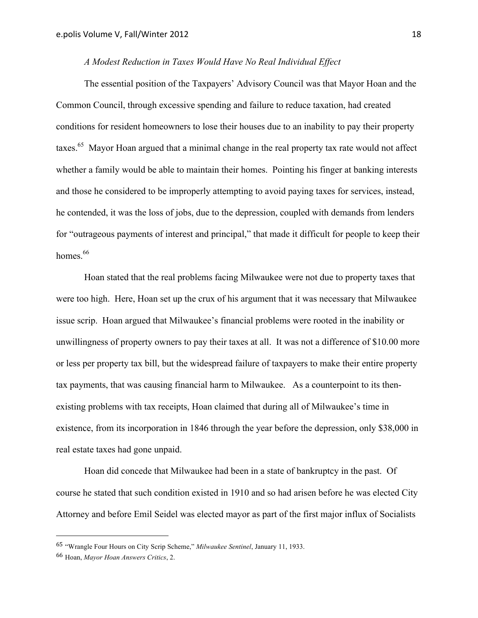# *A Modest Reduction in Taxes Would Have No Real Individual Effect*

The essential position of the Taxpayers' Advisory Council was that Mayor Hoan and the Common Council, through excessive spending and failure to reduce taxation, had created conditions for resident homeowners to lose their houses due to an inability to pay their property taxes.<sup>65</sup> Mayor Hoan argued that a minimal change in the real property tax rate would not affect whether a family would be able to maintain their homes. Pointing his finger at banking interests and those he considered to be improperly attempting to avoid paying taxes for services, instead, he contended, it was the loss of jobs, due to the depression, coupled with demands from lenders for "outrageous payments of interest and principal," that made it difficult for people to keep their homes.<sup>66</sup>

Hoan stated that the real problems facing Milwaukee were not due to property taxes that were too high. Here, Hoan set up the crux of his argument that it was necessary that Milwaukee issue scrip. Hoan argued that Milwaukee's financial problems were rooted in the inability or unwillingness of property owners to pay their taxes at all. It was not a difference of \$10.00 more or less per property tax bill, but the widespread failure of taxpayers to make their entire property tax payments, that was causing financial harm to Milwaukee. As a counterpoint to its thenexisting problems with tax receipts, Hoan claimed that during all of Milwaukee's time in existence, from its incorporation in 1846 through the year before the depression, only \$38,000 in real estate taxes had gone unpaid.

Hoan did concede that Milwaukee had been in a state of bankruptcy in the past. Of course he stated that such condition existed in 1910 and so had arisen before he was elected City Attorney and before Emil Seidel was elected mayor as part of the first major influx of Socialists

<sup>65</sup> "Wrangle Four Hours on City Scrip Scheme," *Milwaukee Sentinel*, January 11, 1933.

<sup>66</sup> Hoan, *Mayor Hoan Answers Critics*, 2.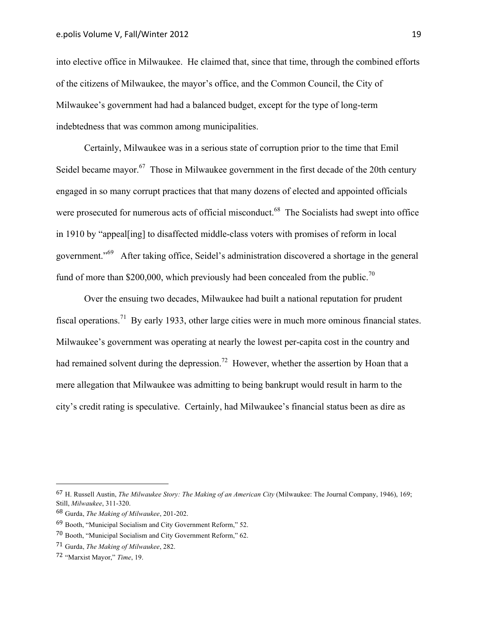into elective office in Milwaukee. He claimed that, since that time, through the combined efforts of the citizens of Milwaukee, the mayor's office, and the Common Council, the City of Milwaukee's government had had a balanced budget, except for the type of long-term indebtedness that was common among municipalities.

Certainly, Milwaukee was in a serious state of corruption prior to the time that Emil Seidel became mayor.<sup>67</sup> Those in Milwaukee government in the first decade of the 20th century engaged in so many corrupt practices that that many dozens of elected and appointed officials were prosecuted for numerous acts of official misconduct.<sup>68</sup> The Socialists had swept into office in 1910 by "appeal[ing] to disaffected middle-class voters with promises of reform in local government."69 After taking office, Seidel's administration discovered a shortage in the general fund of more than \$200,000, which previously had been concealed from the public.<sup>70</sup>

Over the ensuing two decades, Milwaukee had built a national reputation for prudent fiscal operations.<sup>71</sup> By early 1933, other large cities were in much more ominous financial states. Milwaukee's government was operating at nearly the lowest per-capita cost in the country and had remained solvent during the depression.<sup>72</sup> However, whether the assertion by Hoan that a mere allegation that Milwaukee was admitting to being bankrupt would result in harm to the city's credit rating is speculative. Certainly, had Milwaukee's financial status been as dire as

<sup>67</sup> H. Russell Austin, *The Milwaukee Story: The Making of an American City* (Milwaukee: The Journal Company, 1946), 169; Still, *Milwaukee*, 311-320.

<sup>68</sup> Gurda, *The Making of Milwaukee*, 201-202.

<sup>69</sup> Booth, "Municipal Socialism and City Government Reform," 52.

<sup>70</sup> Booth, "Municipal Socialism and City Government Reform," 62.

<sup>71</sup> Gurda, *The Making of Milwaukee*, 282.

<sup>72</sup> "Marxist Mayor," *Time*, 19.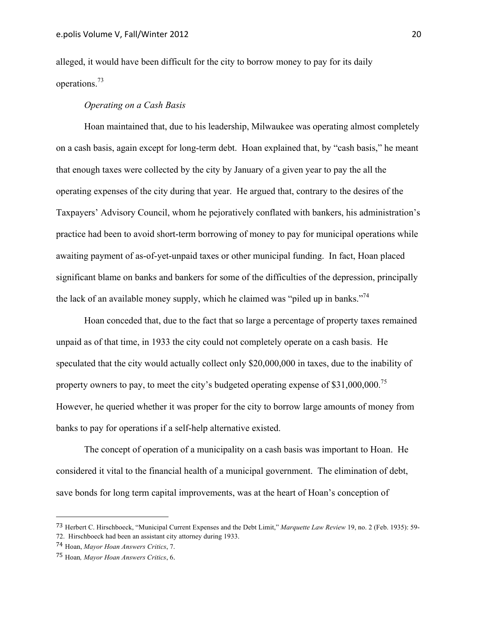alleged, it would have been difficult for the city to borrow money to pay for its daily operations.<sup>73</sup>

# *Operating on a Cash Basis*

Hoan maintained that, due to his leadership, Milwaukee was operating almost completely on a cash basis, again except for long-term debt. Hoan explained that, by "cash basis," he meant that enough taxes were collected by the city by January of a given year to pay the all the operating expenses of the city during that year. He argued that, contrary to the desires of the Taxpayers' Advisory Council, whom he pejoratively conflated with bankers, his administration's practice had been to avoid short-term borrowing of money to pay for municipal operations while awaiting payment of as-of-yet-unpaid taxes or other municipal funding. In fact, Hoan placed significant blame on banks and bankers for some of the difficulties of the depression, principally the lack of an available money supply, which he claimed was "piled up in banks."<sup>74</sup>

Hoan conceded that, due to the fact that so large a percentage of property taxes remained unpaid as of that time, in 1933 the city could not completely operate on a cash basis. He speculated that the city would actually collect only \$20,000,000 in taxes, due to the inability of property owners to pay, to meet the city's budgeted operating expense of  $$31,000,000$ <sup>75</sup> However, he queried whether it was proper for the city to borrow large amounts of money from banks to pay for operations if a self-help alternative existed.

The concept of operation of a municipality on a cash basis was important to Hoan. He considered it vital to the financial health of a municipal government. The elimination of debt, save bonds for long term capital improvements, was at the heart of Hoan's conception of

<sup>73</sup> Herbert C. Hirschboeck, "Municipal Current Expenses and the Debt Limit," *Marquette Law Review* 19, no. 2 (Feb. 1935): 59-

<sup>72.</sup> Hirschboeck had been an assistant city attorney during 1933.

<sup>74</sup> Hoan, *Mayor Hoan Answers Critics*, 7.

<sup>75</sup> Hoan*, Mayor Hoan Answers Critics*, 6.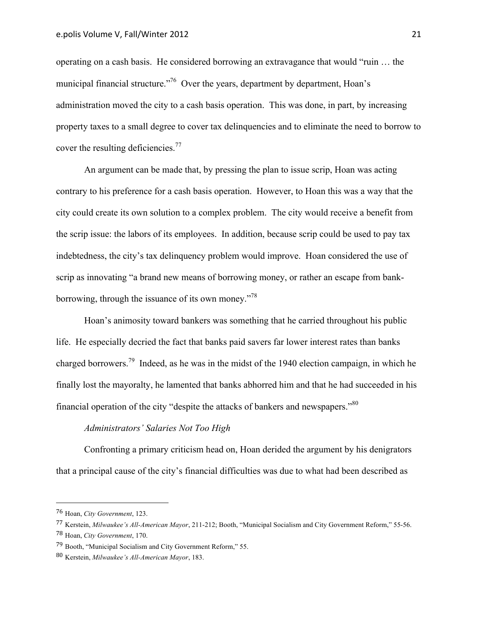operating on a cash basis. He considered borrowing an extravagance that would "ruin … the municipal financial structure."<sup>76</sup> Over the years, department by department, Hoan's administration moved the city to a cash basis operation. This was done, in part, by increasing property taxes to a small degree to cover tax delinquencies and to eliminate the need to borrow to cover the resulting deficiencies.<sup>77</sup>

An argument can be made that, by pressing the plan to issue scrip, Hoan was acting contrary to his preference for a cash basis operation. However, to Hoan this was a way that the city could create its own solution to a complex problem. The city would receive a benefit from the scrip issue: the labors of its employees. In addition, because scrip could be used to pay tax indebtedness, the city's tax delinquency problem would improve. Hoan considered the use of scrip as innovating "a brand new means of borrowing money, or rather an escape from bankborrowing, through the issuance of its own money."78

Hoan's animosity toward bankers was something that he carried throughout his public life. He especially decried the fact that banks paid savers far lower interest rates than banks charged borrowers.79 Indeed, as he was in the midst of the 1940 election campaign, in which he finally lost the mayoralty, he lamented that banks abhorred him and that he had succeeded in his financial operation of the city "despite the attacks of bankers and newspapers."<sup>80</sup>

# *Administrators' Salaries Not Too High*

Confronting a primary criticism head on, Hoan derided the argument by his denigrators that a principal cause of the city's financial difficulties was due to what had been described as

<sup>76</sup> Hoan, *City Government*, 123.

<sup>77</sup> Kerstein, *Milwaukee's All-American Mayor*, 211-212; Booth, "Municipal Socialism and City Government Reform," 55-56. 78 Hoan, *City Government*, 170.

<sup>79</sup> Booth, "Municipal Socialism and City Government Reform," 55.

<sup>80</sup> Kerstein, *Milwaukee's All-American Mayor*, 183.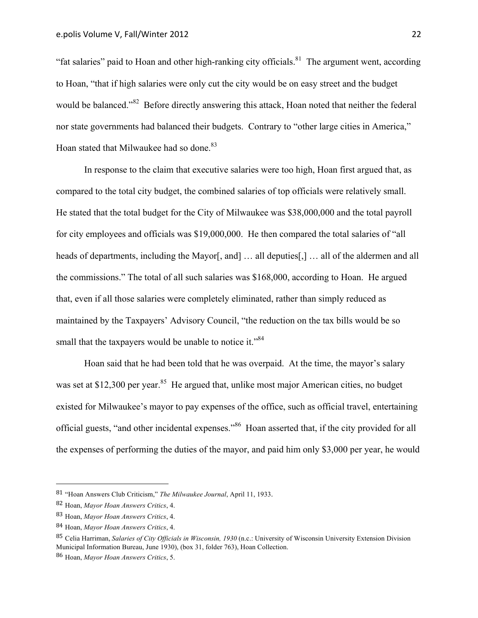"fat salaries" paid to Hoan and other high-ranking city officials.<sup>81</sup> The argument went, according to Hoan, "that if high salaries were only cut the city would be on easy street and the budget would be balanced."<sup>82</sup> Before directly answering this attack, Hoan noted that neither the federal nor state governments had balanced their budgets. Contrary to "other large cities in America," Hoan stated that Milwaukee had so done.<sup>83</sup>

In response to the claim that executive salaries were too high, Hoan first argued that, as compared to the total city budget, the combined salaries of top officials were relatively small. He stated that the total budget for the City of Milwaukee was \$38,000,000 and the total payroll for city employees and officials was \$19,000,000. He then compared the total salaries of "all heads of departments, including the Mayor[, and] ... all deputies[,] ... all of the aldermen and all the commissions." The total of all such salaries was \$168,000, according to Hoan. He argued that, even if all those salaries were completely eliminated, rather than simply reduced as maintained by the Taxpayers' Advisory Council, "the reduction on the tax bills would be so small that the taxpayers would be unable to notice it."<sup>84</sup>

Hoan said that he had been told that he was overpaid. At the time, the mayor's salary was set at \$12,300 per year.<sup>85</sup> He argued that, unlike most major American cities, no budget existed for Milwaukee's mayor to pay expenses of the office, such as official travel, entertaining official guests, "and other incidental expenses."<sup>86</sup> Hoan asserted that, if the city provided for all the expenses of performing the duties of the mayor, and paid him only \$3,000 per year, he would

<sup>81</sup> "Hoan Answers Club Criticism," *The Milwaukee Journal*, April 11, 1933. 

<sup>82</sup> Hoan, *Mayor Hoan Answers Critics*, 4.

<sup>83</sup> Hoan, *Mayor Hoan Answers Critics*, 4.

<sup>84</sup> Hoan, *Mayor Hoan Answers Critics*, 4.

<sup>85</sup> Celia Harriman, *Salaries of City Officials in Wisconsin, 1930* (n.c.: University of Wisconsin University Extension Division Municipal Information Bureau, June 1930), (box 31, folder 763), Hoan Collection.

<sup>86</sup> Hoan, *Mayor Hoan Answers Critics*, 5.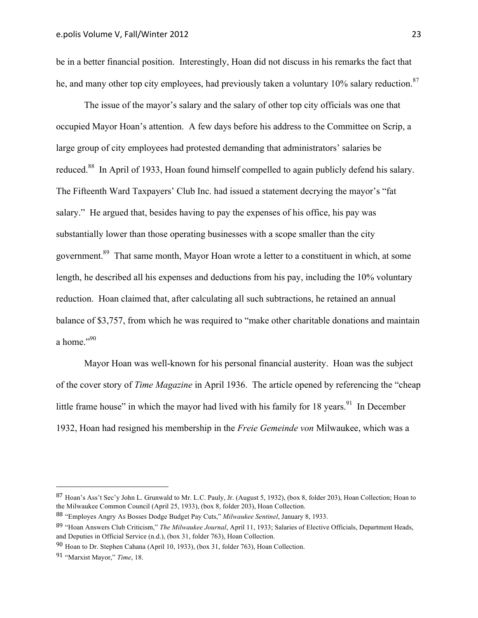be in a better financial position. Interestingly, Hoan did not discuss in his remarks the fact that he, and many other top city employees, had previously taken a voluntary 10% salary reduction.<sup>87</sup>

The issue of the mayor's salary and the salary of other top city officials was one that occupied Mayor Hoan's attention. A few days before his address to the Committee on Scrip, a large group of city employees had protested demanding that administrators' salaries be reduced.<sup>88</sup> In April of 1933, Hoan found himself compelled to again publicly defend his salary. The Fifteenth Ward Taxpayers' Club Inc. had issued a statement decrying the mayor's "fat salary." He argued that, besides having to pay the expenses of his office, his pay was substantially lower than those operating businesses with a scope smaller than the city government.89 That same month, Mayor Hoan wrote a letter to a constituent in which, at some length, he described all his expenses and deductions from his pay, including the 10% voluntary reduction. Hoan claimed that, after calculating all such subtractions, he retained an annual balance of \$3,757, from which he was required to "make other charitable donations and maintain a home."<sup>90</sup>

Mayor Hoan was well-known for his personal financial austerity. Hoan was the subject of the cover story of *Time Magazine* in April 1936. The article opened by referencing the "cheap little frame house" in which the mayor had lived with his family for 18 years.<sup>91</sup> In December 1932, Hoan had resigned his membership in the *Freie Gemeinde von* Milwaukee, which was a

<sup>87</sup> Hoan's Ass't Sec'y John L. Grunwald to Mr. L.C. Pauly, Jr. (August 5, 1932), (box 8, folder 203), Hoan Collection; Hoan to the Milwaukee Common Council (April 25, 1933), (box 8, folder 203), Hoan Collection.

<sup>88</sup> "Employes Angry As Bosses Dodge Budget Pay Cuts," *Milwaukee Sentinel*, January 8, 1933.

<sup>89</sup> "Hoan Answers Club Criticism," *The Milwaukee Journal*, April 11, 1933; Salaries of Elective Officials, Department Heads, and Deputies in Official Service (n.d.), (box 31, folder 763), Hoan Collection. 

<sup>90</sup> Hoan to Dr. Stephen Cahana (April 10, 1933), (box 31, folder 763), Hoan Collection.

<sup>91</sup> "Marxist Mayor," *Time*, 18.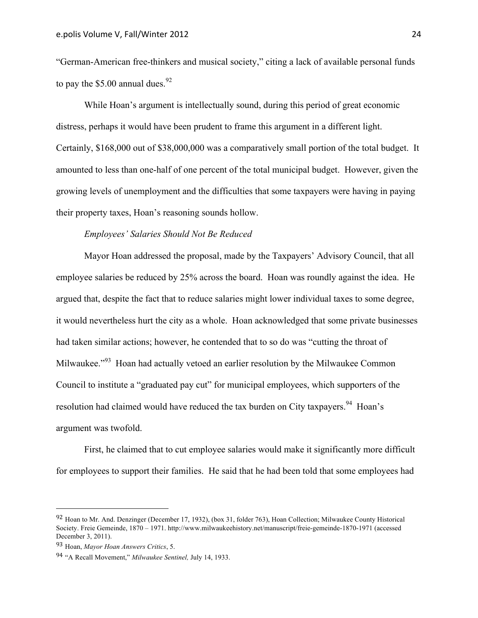"German-American free-thinkers and musical society," citing a lack of available personal funds to pay the \$5.00 annual dues.<sup>92</sup>

While Hoan's argument is intellectually sound, during this period of great economic distress, perhaps it would have been prudent to frame this argument in a different light. Certainly, \$168,000 out of \$38,000,000 was a comparatively small portion of the total budget. It amounted to less than one-half of one percent of the total municipal budget. However, given the growing levels of unemployment and the difficulties that some taxpayers were having in paying their property taxes, Hoan's reasoning sounds hollow.

## *Employees' Salaries Should Not Be Reduced*

Mayor Hoan addressed the proposal, made by the Taxpayers' Advisory Council, that all employee salaries be reduced by 25% across the board. Hoan was roundly against the idea. He argued that, despite the fact that to reduce salaries might lower individual taxes to some degree, it would nevertheless hurt the city as a whole. Hoan acknowledged that some private businesses had taken similar actions; however, he contended that to so do was "cutting the throat of Milwaukee."<sup>93</sup> Hoan had actually vetoed an earlier resolution by the Milwaukee Common Council to institute a "graduated pay cut" for municipal employees, which supporters of the resolution had claimed would have reduced the tax burden on City taxpayers.<sup>94</sup> Hoan's argument was twofold.

First, he claimed that to cut employee salaries would make it significantly more difficult for employees to support their families. He said that he had been told that some employees had

<sup>92</sup> Hoan to Mr. And. Denzinger (December 17, 1932), (box 31, folder 763), Hoan Collection; Milwaukee County Historical Society. Freie Gemeinde, 1870 – 1971. http://www.milwaukeehistory.net/manuscript/freie-gemeinde-1870-1971 (accessed December 3, 2011).

<sup>93</sup> Hoan, *Mayor Hoan Answers Critics*, 5.

<sup>94</sup> "A Recall Movement," *Milwaukee Sentinel,* July 14, 1933.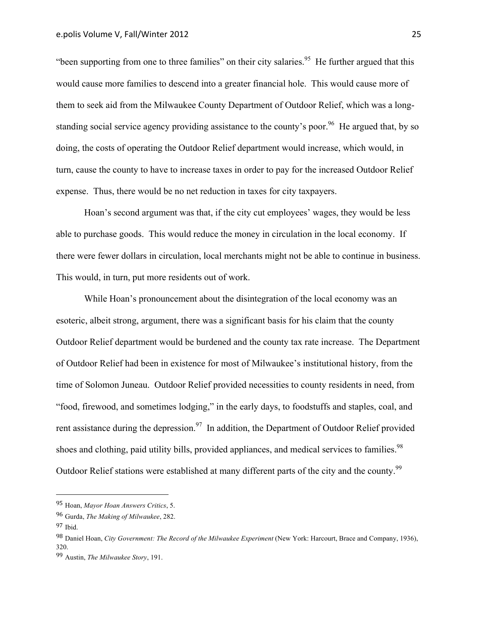"been supporting from one to three families" on their city salaries.<sup>95</sup> He further argued that this would cause more families to descend into a greater financial hole. This would cause more of them to seek aid from the Milwaukee County Department of Outdoor Relief, which was a longstanding social service agency providing assistance to the county's poor.<sup>96</sup> He argued that, by so doing, the costs of operating the Outdoor Relief department would increase, which would, in turn, cause the county to have to increase taxes in order to pay for the increased Outdoor Relief expense. Thus, there would be no net reduction in taxes for city taxpayers.

Hoan's second argument was that, if the city cut employees' wages, they would be less able to purchase goods. This would reduce the money in circulation in the local economy. If there were fewer dollars in circulation, local merchants might not be able to continue in business. This would, in turn, put more residents out of work.

While Hoan's pronouncement about the disintegration of the local economy was an esoteric, albeit strong, argument, there was a significant basis for his claim that the county Outdoor Relief department would be burdened and the county tax rate increase. The Department of Outdoor Relief had been in existence for most of Milwaukee's institutional history, from the time of Solomon Juneau. Outdoor Relief provided necessities to county residents in need, from "food, firewood, and sometimes lodging," in the early days, to foodstuffs and staples, coal, and rent assistance during the depression.<sup>97</sup> In addition, the Department of Outdoor Relief provided shoes and clothing, paid utility bills, provided appliances, and medical services to families.<sup>98</sup> Outdoor Relief stations were established at many different parts of the city and the county.<sup>99</sup>

 95 Hoan, *Mayor Hoan Answers Critics*, 5.

<sup>96</sup> Gurda, *The Making of Milwaukee*, 282.

<sup>97</sup> Ibid.

<sup>98</sup> Daniel Hoan, *City Government: The Record of the Milwaukee Experiment* (New York: Harcourt, Brace and Company, 1936), 320.

<sup>99</sup> Austin, *The Milwaukee Story*, 191.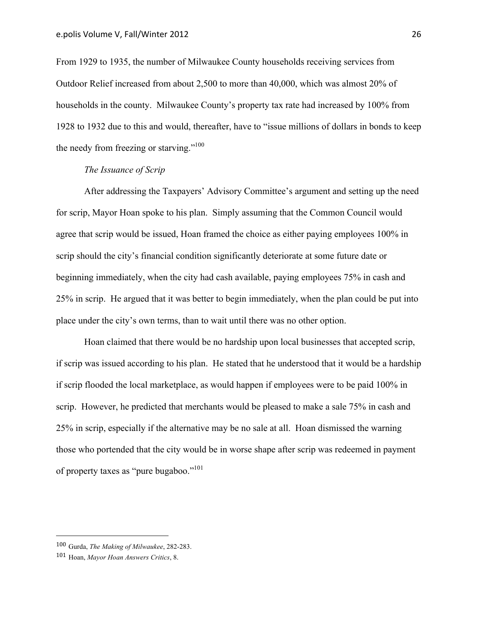From 1929 to 1935, the number of Milwaukee County households receiving services from Outdoor Relief increased from about 2,500 to more than 40,000, which was almost 20% of households in the county. Milwaukee County's property tax rate had increased by 100% from 1928 to 1932 due to this and would, thereafter, have to "issue millions of dollars in bonds to keep the needy from freezing or starving."<sup>100</sup>

# *The Issuance of Scrip*

After addressing the Taxpayers' Advisory Committee's argument and setting up the need for scrip, Mayor Hoan spoke to his plan. Simply assuming that the Common Council would agree that scrip would be issued, Hoan framed the choice as either paying employees 100% in scrip should the city's financial condition significantly deteriorate at some future date or beginning immediately, when the city had cash available, paying employees 75% in cash and 25% in scrip. He argued that it was better to begin immediately, when the plan could be put into place under the city's own terms, than to wait until there was no other option.

Hoan claimed that there would be no hardship upon local businesses that accepted scrip, if scrip was issued according to his plan. He stated that he understood that it would be a hardship if scrip flooded the local marketplace, as would happen if employees were to be paid 100% in scrip. However, he predicted that merchants would be pleased to make a sale 75% in cash and 25% in scrip, especially if the alternative may be no sale at all. Hoan dismissed the warning those who portended that the city would be in worse shape after scrip was redeemed in payment of property taxes as "pure bugaboo."<sup>101</sup>

<sup>100</sup> Gurda, *The Making of Milwaukee*, 282-283.

<sup>101</sup> Hoan, *Mayor Hoan Answers Critics*, 8.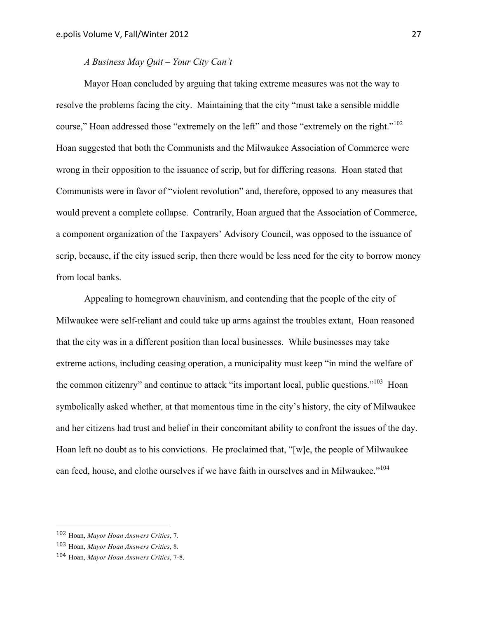# *A Business May Quit – Your City Can't*

Mayor Hoan concluded by arguing that taking extreme measures was not the way to resolve the problems facing the city. Maintaining that the city "must take a sensible middle course," Hoan addressed those "extremely on the left" and those "extremely on the right."<sup>102</sup> Hoan suggested that both the Communists and the Milwaukee Association of Commerce were wrong in their opposition to the issuance of scrip, but for differing reasons. Hoan stated that Communists were in favor of "violent revolution" and, therefore, opposed to any measures that would prevent a complete collapse. Contrarily, Hoan argued that the Association of Commerce, a component organization of the Taxpayers' Advisory Council, was opposed to the issuance of scrip, because, if the city issued scrip, then there would be less need for the city to borrow money from local banks.

Appealing to homegrown chauvinism, and contending that the people of the city of Milwaukee were self-reliant and could take up arms against the troubles extant, Hoan reasoned that the city was in a different position than local businesses. While businesses may take extreme actions, including ceasing operation, a municipality must keep "in mind the welfare of the common citizenry" and continue to attack "its important local, public questions."<sup>103</sup> Hoan symbolically asked whether, at that momentous time in the city's history, the city of Milwaukee and her citizens had trust and belief in their concomitant ability to confront the issues of the day. Hoan left no doubt as to his convictions. He proclaimed that, "[w]e, the people of Milwaukee can feed, house, and clothe ourselves if we have faith in ourselves and in Milwaukee."<sup>104</sup>

 102 Hoan, *Mayor Hoan Answers Critics*, 7.

<sup>103</sup> Hoan, *Mayor Hoan Answers Critics*, 8.

<sup>104</sup> Hoan, *Mayor Hoan Answers Critics*, 7-8.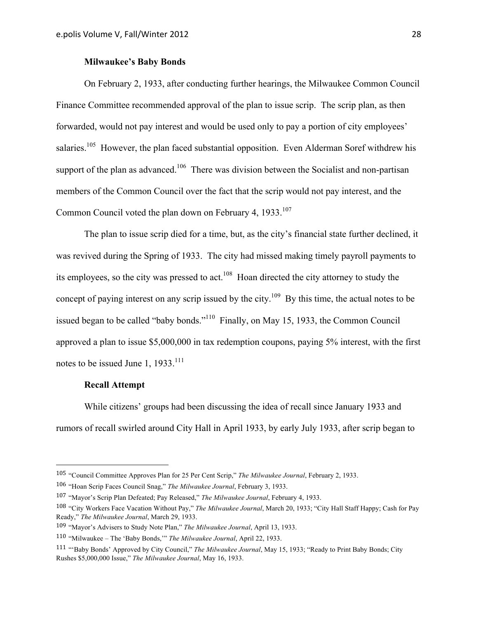# **Milwaukee's Baby Bonds**

On February 2, 1933, after conducting further hearings, the Milwaukee Common Council Finance Committee recommended approval of the plan to issue scrip. The scrip plan, as then forwarded, would not pay interest and would be used only to pay a portion of city employees' salaries.<sup>105</sup> However, the plan faced substantial opposition. Even Alderman Soref withdrew his support of the plan as advanced.<sup>106</sup> There was division between the Socialist and non-partisan members of the Common Council over the fact that the scrip would not pay interest, and the Common Council voted the plan down on February 4, 1933.<sup>107</sup>

The plan to issue scrip died for a time, but, as the city's financial state further declined, it was revived during the Spring of 1933. The city had missed making timely payroll payments to its employees, so the city was pressed to act.<sup>108</sup> Hoan directed the city attorney to study the concept of paying interest on any scrip issued by the city.<sup>109</sup> By this time, the actual notes to be issued began to be called "baby bonds."110 Finally, on May 15, 1933, the Common Council approved a plan to issue \$5,000,000 in tax redemption coupons, paying 5% interest, with the first notes to be issued June 1,  $1933$ <sup>111</sup>

# **Recall Attempt**

 

While citizens' groups had been discussing the idea of recall since January 1933 and rumors of recall swirled around City Hall in April 1933, by early July 1933, after scrip began to

<sup>105</sup> "Council Committee Approves Plan for 25 Per Cent Scrip," *The Milwaukee Journal*, February 2, 1933.

<sup>106</sup> "Hoan Scrip Faces Council Snag," *The Milwaukee Journal*, February 3, 1933.

<sup>107</sup> "Mayor's Scrip Plan Defeated; Pay Released," *The Milwaukee Journal*, February 4, 1933.

<sup>108</sup> "City Workers Face Vacation Without Pay," *The Milwaukee Journal*, March 20, 1933; "City Hall Staff Happy; Cash for Pay Ready," *The Milwaukee Journal*, March 29, 1933.

<sup>109</sup> "Mayor's Advisers to Study Note Plan," *The Milwaukee Journal*, April 13, 1933.

<sup>110</sup> "Milwaukee – The 'Baby Bonds,'" *The Milwaukee Journal*, April 22, 1933.

<sup>111</sup> "'Baby Bonds' Approved by City Council," *The Milwaukee Journal*, May 15, 1933; "Ready to Print Baby Bonds; City Rushes \$5,000,000 Issue," *The Milwaukee Journal*, May 16, 1933.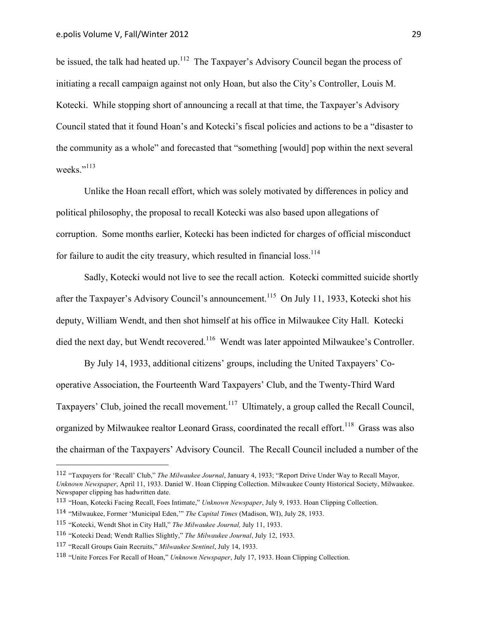be issued, the talk had heated up.<sup>112</sup> The Taxpayer's Advisory Council began the process of initiating a recall campaign against not only Hoan, but also the City's Controller, Louis M. Kotecki. While stopping short of announcing a recall at that time, the Taxpayer's Advisory Council stated that it found Hoan's and Kotecki's fiscal policies and actions to be a "disaster to the community as a whole" and forecasted that "something [would] pop within the next several weeks."<sup>113</sup>

Unlike the Hoan recall effort, which was solely motivated by differences in policy and political philosophy, the proposal to recall Kotecki was also based upon allegations of corruption. Some months earlier, Kotecki has been indicted for charges of official misconduct for failure to audit the city treasury, which resulted in financial loss.<sup>114</sup>

Sadly, Kotecki would not live to see the recall action. Kotecki committed suicide shortly after the Taxpayer's Advisory Council's announcement.<sup>115</sup> On July 11, 1933, Kotecki shot his deputy, William Wendt, and then shot himself at his office in Milwaukee City Hall. Kotecki died the next day, but Wendt recovered.<sup>116</sup> Wendt was later appointed Milwaukee's Controller.

By July 14, 1933, additional citizens' groups, including the United Taxpayers' Cooperative Association, the Fourteenth Ward Taxpayers' Club, and the Twenty-Third Ward Taxpayers' Club, joined the recall movement.<sup>117</sup> Ultimately, a group called the Recall Council, organized by Milwaukee realtor Leonard Grass, coordinated the recall effort.<sup>118</sup> Grass was also the chairman of the Taxpayers' Advisory Council. The Recall Council included a number of the

<sup>112</sup> "Taxpayers for 'Recall' Club," *The Milwaukee Journal*, January 4, 1933; "Report Drive Under Way to Recall Mayor, *Unknown Newspaper*, April 11, 1933. Daniel W. Hoan Clipping Collection. Milwaukee County Historical Society, Milwaukee. Newspaper clipping has hadwritten date.

<sup>113</sup> "Hoan, Kotecki Facing Recall, Foes Intimate," *Unknown Newspaper*, July 9, 1933. Hoan Clipping Collection.

<sup>114</sup> "Milwaukee, Former 'Municipal Eden,'" *The Capital Times* (Madison, WI), July 28, 1933.

<sup>115</sup> "Kotecki, Wendt Shot in City Hall," *The Milwaukee Journal,* July 11, 1933.

<sup>116</sup> "Kotecki Dead; Wendt Rallies Slightly," *The Milwaukee Journal*, July 12, 1933.

<sup>117</sup> "Recall Groups Gain Recruits," *Milwaukee Sentinel*, July 14, 1933.

<sup>118</sup> "Unite Forces For Recall of Hoan," *Unknown Newspaper*, July 17, 1933. Hoan Clipping Collection.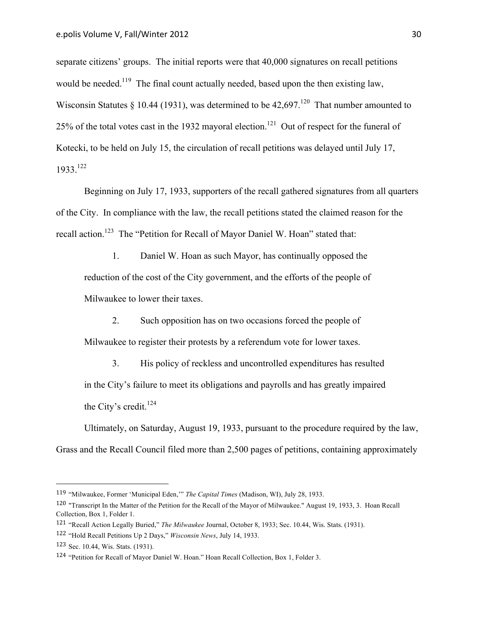separate citizens' groups. The initial reports were that 40,000 signatures on recall petitions would be needed.<sup>119</sup> The final count actually needed, based upon the then existing law, Wisconsin Statutes § 10.44 (1931), was determined to be  $42.697$ <sup>120</sup> That number amounted to 25% of the total votes cast in the 1932 mayoral election.<sup>121</sup> Out of respect for the funeral of Kotecki, to be held on July 15, the circulation of recall petitions was delayed until July 17, 1933.122

Beginning on July 17, 1933, supporters of the recall gathered signatures from all quarters of the City. In compliance with the law, the recall petitions stated the claimed reason for the recall action.<sup>123</sup> The "Petition for Recall of Mayor Daniel W. Hoan" stated that:

1. Daniel W. Hoan as such Mayor, has continually opposed the reduction of the cost of the City government, and the efforts of the people of Milwaukee to lower their taxes.

2. Such opposition has on two occasions forced the people of

Milwaukee to register their protests by a referendum vote for lower taxes.

3. His policy of reckless and uncontrolled expenditures has resulted in the City's failure to meet its obligations and payrolls and has greatly impaired the City's credit.<sup>124</sup>

Ultimately, on Saturday, August 19, 1933, pursuant to the procedure required by the law, Grass and the Recall Council filed more than 2,500 pages of petitions, containing approximately

<sup>119</sup> "Milwaukee, Former 'Municipal Eden,'" *The Capital Times* (Madison, WI), July 28, 1933.

<sup>120</sup> "Transcript In the Matter of the Petition for the Recall of the Mayor of Milwaukee." August 19, 1933, 3. Hoan Recall Collection, Box 1, Folder 1.

<sup>121</sup> "Recall Action Legally Buried," *The Milwaukee* Journal, October 8, 1933; Sec. 10.44, Wis. Stats. (1931).

<sup>122</sup> "Hold Recall Petitions Up 2 Days," *Wisconsin News*, July 14, 1933.

<sup>123</sup> Sec. 10.44, Wis. Stats. (1931).

<sup>124</sup> "Petition for Recall of Mayor Daniel W. Hoan." Hoan Recall Collection, Box 1, Folder 3.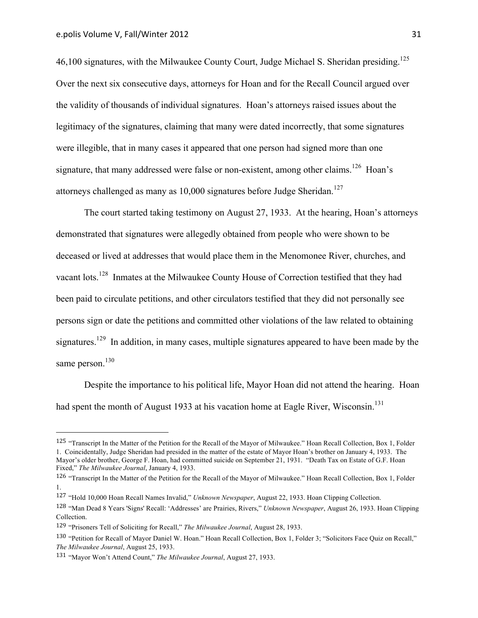46,100 signatures, with the Milwaukee County Court, Judge Michael S. Sheridan presiding.<sup>125</sup> Over the next six consecutive days, attorneys for Hoan and for the Recall Council argued over the validity of thousands of individual signatures. Hoan's attorneys raised issues about the legitimacy of the signatures, claiming that many were dated incorrectly, that some signatures were illegible, that in many cases it appeared that one person had signed more than one signature, that many addressed were false or non-existent, among other claims.<sup>126</sup> Hoan's attorneys challenged as many as  $10,000$  signatures before Judge Sheridan.<sup>127</sup>

The court started taking testimony on August 27, 1933. At the hearing, Hoan's attorneys demonstrated that signatures were allegedly obtained from people who were shown to be deceased or lived at addresses that would place them in the Menomonee River, churches, and vacant lots.128 Inmates at the Milwaukee County House of Correction testified that they had been paid to circulate petitions, and other circulators testified that they did not personally see persons sign or date the petitions and committed other violations of the law related to obtaining signatures.<sup>129</sup> In addition, in many cases, multiple signatures appeared to have been made by the same person.<sup>130</sup>

Despite the importance to his political life, Mayor Hoan did not attend the hearing. Hoan had spent the month of August 1933 at his vacation home at Eagle River, Wisconsin.<sup>131</sup>

<sup>125</sup> "Transcript In the Matter of the Petition for the Recall of the Mayor of Milwaukee." Hoan Recall Collection, Box 1, Folder 1. Coincidentally, Judge Sheridan had presided in the matter of the estate of Mayor Hoan's brother on January 4, 1933. The Mayor's older brother, George F. Hoan, had committed suicide on September 21, 1931. "Death Tax on Estate of G.F. Hoan Fixed," *The Milwaukee Journal*, January 4, 1933.

<sup>126</sup> "Transcript In the Matter of the Petition for the Recall of the Mayor of Milwaukee." Hoan Recall Collection, Box 1, Folder 1.

<sup>127</sup> "Hold 10,000 Hoan Recall Names Invalid," *Unknown Newspaper*, August 22, 1933. Hoan Clipping Collection.

<sup>128</sup> "Man Dead 8 Years 'Signs' Recall: 'Addresses' are Prairies, Rivers," *Unknown Newspaper*, August 26, 1933. Hoan Clipping Collection.

<sup>129</sup> "Prisoners Tell of Soliciting for Recall," *The Milwaukee Journal*, August 28, 1933.

<sup>130</sup> "Petition for Recall of Mayor Daniel W. Hoan." Hoan Recall Collection, Box 1, Folder 3; "Solicitors Face Quiz on Recall," *The Milwaukee Journal*, August 25, 1933.

<sup>131</sup> "Mayor Won't Attend Count," *The Milwaukee Journal*, August 27, 1933.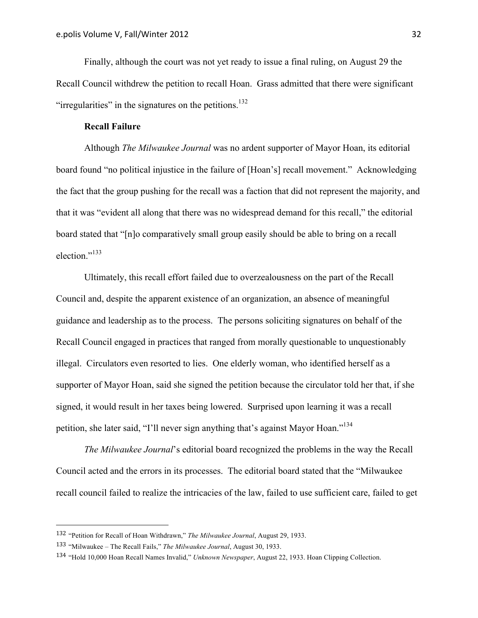Finally, although the court was not yet ready to issue a final ruling, on August 29 the Recall Council withdrew the petition to recall Hoan. Grass admitted that there were significant "irregularities" in the signatures on the petitions.<sup>132</sup>

#### **Recall Failure**

Although *The Milwaukee Journal* was no ardent supporter of Mayor Hoan, its editorial board found "no political injustice in the failure of [Hoan's] recall movement." Acknowledging the fact that the group pushing for the recall was a faction that did not represent the majority, and that it was "evident all along that there was no widespread demand for this recall," the editorial board stated that "[n]o comparatively small group easily should be able to bring on a recall election."133

Ultimately, this recall effort failed due to overzealousness on the part of the Recall Council and, despite the apparent existence of an organization, an absence of meaningful guidance and leadership as to the process. The persons soliciting signatures on behalf of the Recall Council engaged in practices that ranged from morally questionable to unquestionably illegal. Circulators even resorted to lies. One elderly woman, who identified herself as a supporter of Mayor Hoan, said she signed the petition because the circulator told her that, if she signed, it would result in her taxes being lowered. Surprised upon learning it was a recall petition, she later said, "I'll never sign anything that's against Mayor Hoan."<sup>134</sup>

*The Milwaukee Journal*'s editorial board recognized the problems in the way the Recall Council acted and the errors in its processes. The editorial board stated that the "Milwaukee recall council failed to realize the intricacies of the law, failed to use sufficient care, failed to get

<sup>132</sup> "Petition for Recall of Hoan Withdrawn," *The Milwaukee Journal*, August 29, 1933.

<sup>133</sup> "Milwaukee – The Recall Fails," *The Milwaukee Journal*, August 30, 1933.

<sup>134</sup> "Hold 10,000 Hoan Recall Names Invalid," *Unknown Newspaper*, August 22, 1933. Hoan Clipping Collection.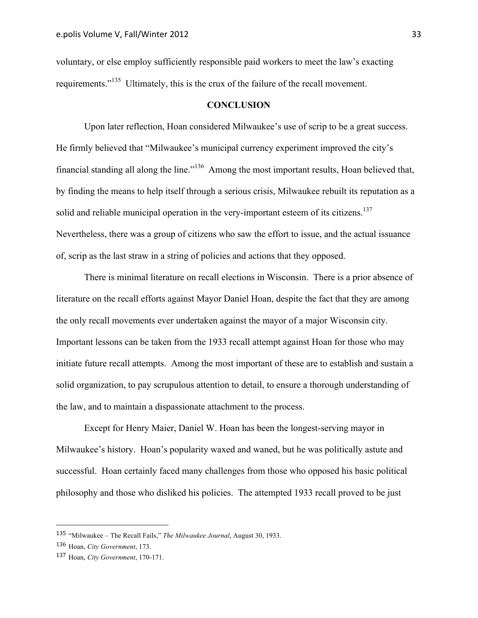voluntary, or else employ sufficiently responsible paid workers to meet the law's exacting requirements."135 Ultimately, this is the crux of the failure of the recall movement.

#### **CONCLUSION**

Upon later reflection, Hoan considered Milwaukee's use of scrip to be a great success. He firmly believed that "Milwaukee's municipal currency experiment improved the city's financial standing all along the line."136 Among the most important results, Hoan believed that, by finding the means to help itself through a serious crisis, Milwaukee rebuilt its reputation as a solid and reliable municipal operation in the very-important esteem of its citizens.<sup>137</sup> Nevertheless, there was a group of citizens who saw the effort to issue, and the actual issuance of, scrip as the last straw in a string of policies and actions that they opposed.

There is minimal literature on recall elections in Wisconsin. There is a prior absence of literature on the recall efforts against Mayor Daniel Hoan, despite the fact that they are among the only recall movements ever undertaken against the mayor of a major Wisconsin city. Important lessons can be taken from the 1933 recall attempt against Hoan for those who may initiate future recall attempts. Among the most important of these are to establish and sustain a solid organization, to pay scrupulous attention to detail, to ensure a thorough understanding of the law, and to maintain a dispassionate attachment to the process.

Except for Henry Maier, Daniel W. Hoan has been the longest-serving mayor in Milwaukee's history. Hoan's popularity waxed and waned, but he was politically astute and successful. Hoan certainly faced many challenges from those who opposed his basic political philosophy and those who disliked his policies. The attempted 1933 recall proved to be just

<sup>135</sup> "Milwaukee – The Recall Fails," *The Milwaukee Journal*, August 30, 1933.

<sup>136</sup> Hoan, *City Government*, 173.

<sup>137</sup> Hoan, *City Government*, 170-171.